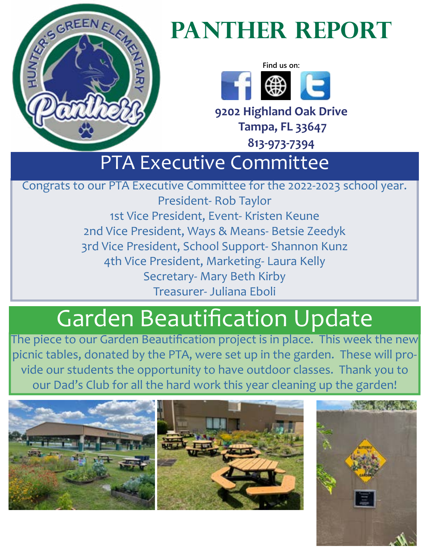

# PANTHER REPORT



**9202 Highland Oak Drive Tampa, FL 33647**

**813-973-7394** 

### PTA Executive Committee

Congrats to our PTA Executive Committee for the 2022-2023 school year.

President- Rob Taylor 1st Vice President, Event- Kristen Keune 2nd Vice President, Ways & Means- Betsie Zeedyk 3rd Vice President, School Support- Shannon Kunz 4th Vice President, Marketing- Laura Kelly Secretary- Mary Beth Kirby Treasurer- Juliana Eboli

# Garden Beautification Update

The piece to our Garden Beautification project is in place. This week the new picnic tables, donated by the PTA, were set up in the garden. These will provide our students the opportunity to have outdoor classes. Thank you to our Dad's Club for all the hard work this year cleaning up the garden!



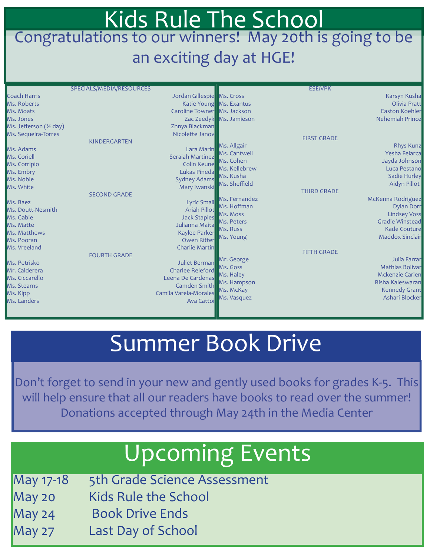#### Kids Rule The School Congratulations to our winners! May 20th is going to be an exciting day at HGE!

|                         | SPECIALS/MEDIA/RESOURCES |                             |                         | <b>ESE/VPK</b>     |                        |
|-------------------------|--------------------------|-----------------------------|-------------------------|--------------------|------------------------|
| <b>Coach Harris</b>     |                          | Jordan Gillespie Ms. Cross  |                         |                    | Karsyn Kusha           |
| Ms. Roberts             |                          |                             | Katie Young Ms. Exantus |                    | Olivia Pratt           |
| Ms. Moats               |                          | Caroline Towner Ms. Jackson |                         |                    | <b>Easton Koehler</b>  |
| Ms. Jones               |                          |                             | Zac Zeedyk Ms. Jamieson |                    | <b>Nehemiah Prince</b> |
| Ms. Jefferson (1/2 day) |                          | Zhnya Blackman              |                         |                    |                        |
| Ms. Sequeira-Torres     |                          | Nicolette Janov             |                         |                    |                        |
|                         | <b>KINDERGARTEN</b>      |                             |                         | <b>FIRST GRADE</b> |                        |
| Ms. Adams               |                          | Lara Marin                  | Ms. Allgair             |                    | <b>Rhys Kunz</b>       |
| Ms. Coriell             |                          | Seraiah Martinez            | Ms. Cantwell            |                    | <b>Yesha Felarca</b>   |
| Ms. Corripio            |                          | <b>Colin Keune</b>          | Ms. Cohen               |                    | Jayda Johnson          |
| Ms. Embry               |                          | Lukas Pineda                | Ms. Kellebrew           |                    | Luca Pestano           |
| Ms. Noble               |                          | <b>Sydney Adams</b>         | Ms. Kusha               |                    | <b>Sadie Hurley</b>    |
| Ms. White               |                          | Mary Iwanski                | Ms. Sheffield           |                    | Aidyn Pillot           |
|                         | <b>SECOND GRADE</b>      |                             |                         | <b>THIRD GRADE</b> |                        |
| Ms. Baez                |                          | <b>Lyric Smail</b>          | Ms. Fernandez           |                    | McKenna Rodriguez      |
| Ms. Doutt-Nesmith       |                          | <b>Ariah Pillot</b>         | Ms. Hoffman             |                    | <b>Dylan Dorr</b>      |
| Ms. Gable               |                          | <b>Jack Staples</b>         | Ms. Moss                |                    | <b>Lindsey Voss</b>    |
| Ms. Matte               |                          | Julianna Maita              | Ms. Peters              |                    | <b>Gradie Winstead</b> |
| Ms. Matthews            |                          | <b>Kaylee Parker</b>        | Ms. Russ                |                    | <b>Kade Couture</b>    |
| Ms. Pooran              |                          | <b>Owen Ritter</b>          | Ms. Young               |                    | <b>Maddox Sinclair</b> |
| Ms. Vreeland            |                          |                             |                         |                    |                        |
|                         |                          | <b>Charlie Martin</b>       |                         | <b>FIFTH GRADE</b> |                        |
|                         | <b>FOURTH GRADE</b>      |                             | Mr. George              |                    | Julia Farrar           |
| Ms. Petrisko            |                          | Juliet Berman               | Ms. Goss                |                    | <b>Mathias Bolivar</b> |
| Mr. Calderera           |                          | <b>Charlee Releford</b>     | Ms. Haley               |                    | <b>Mckenzie Carlen</b> |
| Ms. Ciccarello          |                          | Leena De Cardenas           | Ms. Hampson             |                    | Risha Kaleswaran       |
| Ms. Stearns             |                          | Camden Smith                | Ms. McKay               |                    | <b>Kennedy Grant</b>   |
| Ms. Kipp                |                          | Camila Varela-Morales       | Ms. Vasquez             |                    | Ashari Blocker         |
| Ms. Landers             |                          | Ava Cattoi                  |                         |                    |                        |
|                         |                          |                             |                         |                    |                        |

### Summer Book Drive

Don't forget to send in your new and gently used books for grades K-5. This will help ensure that all our readers have books to read over the summer! Donations accepted through May 24th in the Media Center

## Upcoming Events

- May 17-18 5th Grade Science Assessment
- May 20 Kids Rule the School
- May 24 Book Drive Ends
- May 27 Last Day of School